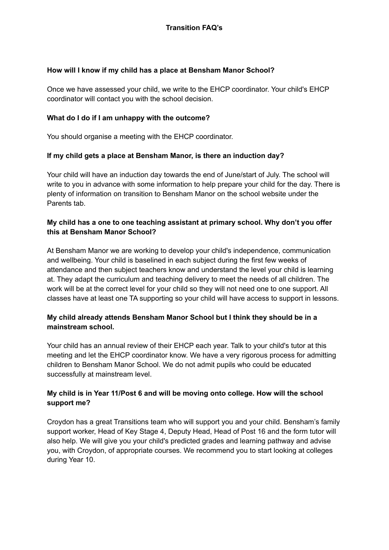#### **How will I know if my child has a place at Bensham Manor School?**

Once we have assessed your child, we write to the EHCP coordinator. Your child's EHCP coordinator will contact you with the school decision.

#### **What do I do if I am unhappy with the outcome?**

You should organise a meeting with the EHCP coordinator.

#### **If my child gets a place at Bensham Manor, is there an induction day?**

Your child will have an induction day towards the end of June/start of July. The school will write to you in advance with some information to help prepare your child for the day. There is plenty of information on transition to Bensham Manor on the school website under the Parents tab.

## **My child has a one to one teaching assistant at primary school. Why don't you offer this at Bensham Manor School?**

At Bensham Manor we are working to develop your child's independence, communication and wellbeing. Your child is baselined in each subject during the first few weeks of attendance and then subject teachers know and understand the level your child is learning at. They adapt the curriculum and teaching delivery to meet the needs of all children. The work will be at the correct level for your child so they will not need one to one support. All classes have at least one TA supporting so your child will have access to support in lessons.

## **My child already attends Bensham Manor School but I think they should be in a mainstream school.**

Your child has an annual review of their EHCP each year. Talk to your child's tutor at this meeting and let the EHCP coordinator know. We have a very rigorous process for admitting children to Bensham Manor School. We do not admit pupils who could be educated successfully at mainstream level.

# **My child is in Year 11/Post 6 and will be moving onto college. How will the school support me?**

Croydon has a great Transitions team who will support you and your child. Bensham's family support worker, Head of Key Stage 4, Deputy Head, Head of Post 16 and the form tutor will also help. We will give you your child's predicted grades and learning pathway and advise you, with Croydon, of appropriate courses. We recommend you to start looking at colleges during Year 10.